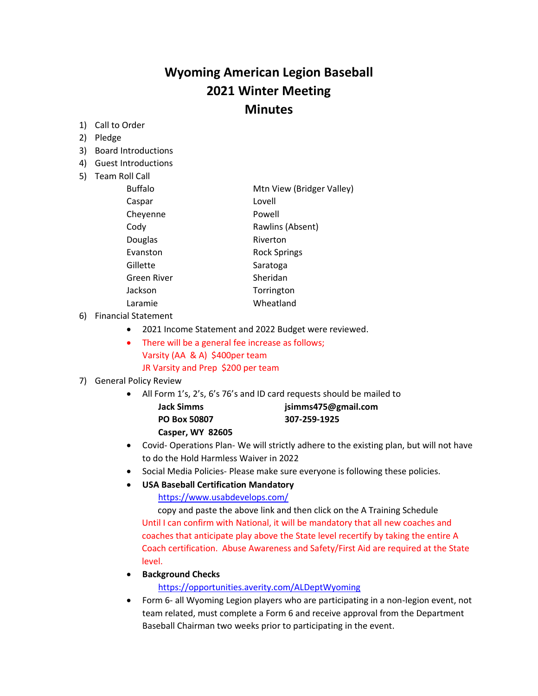# **Wyoming American Legion Baseball 2021 Winter Meeting Minutes**

- 1) Call to Order
- 2) Pledge
- 3) Board Introductions
- 4) Guest Introductions
- 5) Team Roll Call

| <b>Buffalo</b> | Mtn View (Bridger Valley) |
|----------------|---------------------------|
| Caspar         | Lovell                    |
| Cheyenne       | Powell                    |
| Cody           | Rawlins (Absent)          |
| Douglas        | Riverton                  |
| Evanston       | <b>Rock Springs</b>       |
| Gillette       | Saratoga                  |
| Green River    | Sheridan                  |
| Jackson        | Torrington                |
| Laramie        | Wheatland                 |

6) Financial Statement

- 2021 Income Statement and 2022 Budget were reviewed.
- There will be a general fee increase as follows; Varsity (AA & A) \$400per team JR Varsity and Prep \$200 per team

## 7) General Policy Review

- All Form 1's, 2's, 6's 76's and ID card requests should be mailed to
	- **PO Box 50807 307-259-1925**

**Jack Simms jsimms475@gmail.com**

- **Casper, WY 82605**
- Covid- Operations Plan- We will strictly adhere to the existing plan, but will not have to do the Hold Harmless Waiver in 2022
- Social Media Policies- Please make sure everyone is following these policies.
- **USA Baseball Certification Mandatory**

<https://www.usabdevelops.com/>

 copy and paste the above link and then click on the A Training Schedule Until I can confirm with National, it will be mandatory that all new coaches and coaches that anticipate play above the State level recertify by taking the entire A Coach certification. Abuse Awareness and Safety/First Aid are required at the State level.

• **Background Checks**

<https://opportunities.averity.com/ALDeptWyoming>

• Form 6- all Wyoming Legion players who are participating in a non-legion event, not team related, must complete a Form 6 and receive approval from the Department Baseball Chairman two weeks prior to participating in the event.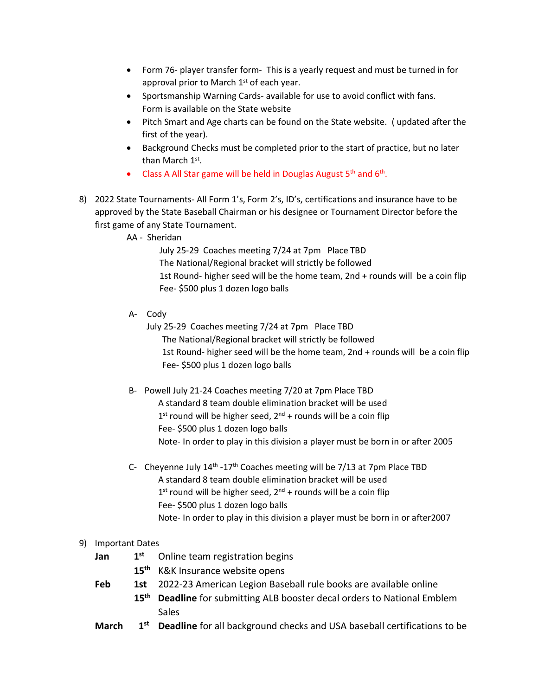- Form 76- player transfer form- This is a yearly request and must be turned in for approval prior to March 1<sup>st</sup> of each year.
- Sportsmanship Warning Cards- available for use to avoid conflict with fans. Form is available on the State website
- Pitch Smart and Age charts can be found on the State website. ( updated after the first of the year).
- Background Checks must be completed prior to the start of practice, but no later than March 1st.
- Class A All Star game will be held in Douglas August  $5<sup>th</sup>$  and  $6<sup>th</sup>$ .
- 8) 2022 State Tournaments- All Form 1's, Form 2's, ID's, certifications and insurance have to be approved by the State Baseball Chairman or his designee or Tournament Director before the first game of any State Tournament.
	- AA Sheridan

 July 25-29 Coaches meeting 7/24 at 7pm Place TBD The National/Regional bracket will strictly be followed 1st Round- higher seed will be the home team, 2nd + rounds will be a coin flip Fee- \$500 plus 1 dozen logo balls

A- Cody

July 25-29 Coaches meeting 7/24 at 7pm Place TBD

 The National/Regional bracket will strictly be followed 1st Round- higher seed will be the home team, 2nd + rounds will be a coin flip Fee- \$500 plus 1 dozen logo balls

- B- Powell July 21-24 Coaches meeting 7/20 at 7pm Place TBD A standard 8 team double elimination bracket will be used  $1<sup>st</sup>$  round will be higher seed,  $2<sup>nd</sup>$  + rounds will be a coin flip Fee- \$500 plus 1 dozen logo balls Note- In order to play in this division a player must be born in or after 2005
- C- Cheyenne July 14<sup>th</sup> -17<sup>th</sup> Coaches meeting will be 7/13 at 7pm Place TBD A standard 8 team double elimination bracket will be used  $1<sup>st</sup>$  round will be higher seed,  $2<sup>nd</sup>$  + rounds will be a coin flip Fee- \$500 plus 1 dozen logo balls Note- In order to play in this division a player must be born in or after2007

### 9) Important Dates

- **Jan 1 st** Online team registration begins
	- **15th** K&K Insurance website opens
- **Feb 1st** 2022-23 American Legion Baseball rule books are available online
	- **15th Deadline** for submitting ALB booster decal orders to National Emblem Sales
- March 1<sup>st</sup> Deadline for all background checks and USA baseball certifications to be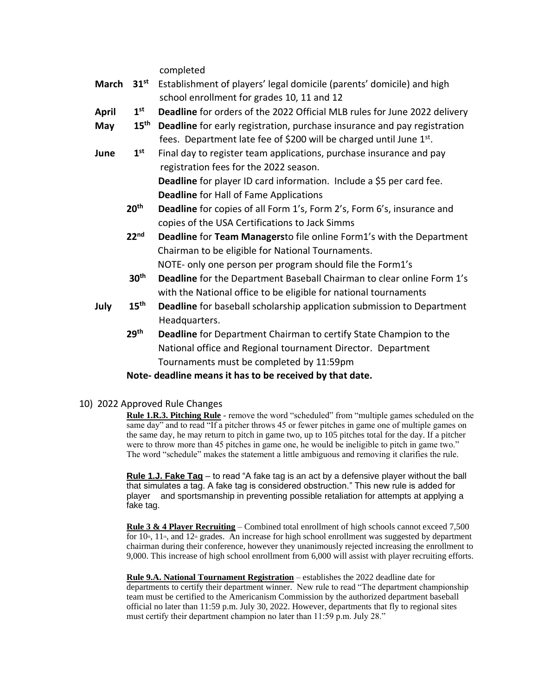completed

- **March 31st** Establishment of players' legal domicile (parents' domicile) and high school enrollment for grades 10, 11 and 12
- April 1st **Deadline** for orders of the 2022 Official MLB rules for June 2022 delivery
- **May 15th Deadline** for early registration, purchase insurance and pay registration fees. Department late fee of \$200 will be charged until June 1st.
- **June 1 st** Final day to register team applications, purchase insurance and pay registration fees for the 2022 season. **Deadline** for player ID card information. Include a \$5 per card fee. **Deadline** for Hall of Fame Applications
	- **20th Deadline** for copies of all Form 1's, Form 2's, Form 6's, insurance and copies of the USA Certifications to Jack Simms

 **22nd Deadline** for **Team Managers**to file online Form1's with the Department Chairman to be eligible for National Tournaments. NOTE- only one person per program should file the Form1's

- **30th Deadline** for the Department Baseball Chairman to clear online Form 1's with the National office to be eligible for national tournaments
- **July 15th Deadline** for baseball scholarship application submission to Department Headquarters.
	- **29th Deadline** for Department Chairman to certify State Champion to the National office and Regional tournament Director. Department Tournaments must be completed by 11:59pm

### **Note- deadline means it has to be received by that date.**

10) 2022 Approved Rule Changes

**Rule 1.R.3. Pitching Rule** - remove the word "scheduled" from "multiple games scheduled on the same day" and to read "If a pitcher throws 45 or fewer pitches in game one of multiple games on the same day, he may return to pitch in game two, up to 105 pitches total for the day. If a pitcher were to throw more than 45 pitches in game one, he would be ineligible to pitch in game two." The word "schedule" makes the statement a little ambiguous and removing it clarifies the rule.

**Rule 1.J. Fake Tag** – to read "A fake tag is an act by a defensive player without the ball that simulates a tag. A fake tag is considered obstruction." This new rule is added for player and sportsmanship in preventing possible retaliation for attempts at applying a fake tag.

**Rule 3 & 4 Player Recruiting** – Combined total enrollment of high schools cannot exceed 7,500 for  $10<sup>th</sup>$ ,  $11<sup>th</sup>$ , and  $12<sup>th</sup>$  grades. An increase for high school enrollment was suggested by department chairman during their conference, however they unanimously rejected increasing the enrollment to 9,000. This increase of high school enrollment from 6,000 will assist with player recruiting efforts.

**Rule 9.A. National Tournament Registration** – establishes the 2022 deadline date for departments to certify their department winner. New rule to read "The department championship team must be certified to the Americanism Commission by the authorized department baseball official no later than 11:59 p.m. July 30, 2022. However, departments that fly to regional sites must certify their department champion no later than 11:59 p.m. July 28."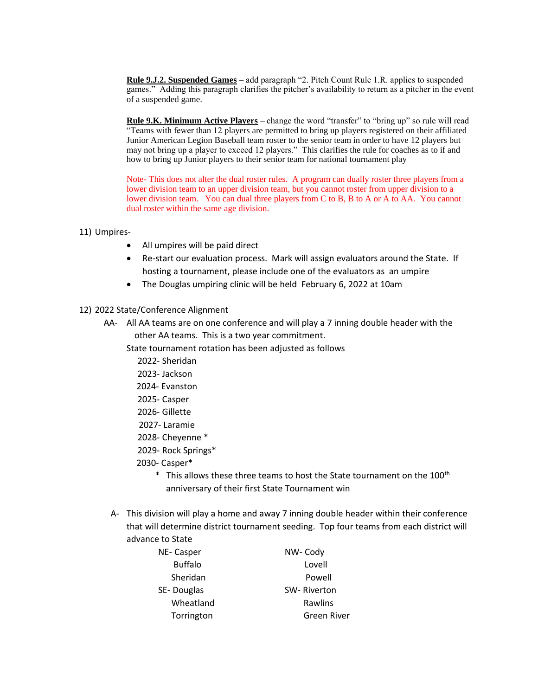**Rule 9.J.2. Suspended Games** – add paragraph "2. Pitch Count Rule 1.R. applies to suspended games." Adding this paragraph clarifies the pitcher's availability to return as a pitcher in the event of a suspended game.

**Rule 9.K. Minimum Active Players** – change the word "transfer" to "bring up" so rule will read "Teams with fewer than 12 players are permitted to bring up players registered on their affiliated Junior American Legion Baseball team roster to the senior team in order to have 12 players but may not bring up a player to exceed 12 players." This clarifies the rule for coaches as to if and how to bring up Junior players to their senior team for national tournament play

Note- This does not alter the dual roster rules. A program can dually roster three players from a lower division team to an upper division team, but you cannot roster from upper division to a lower division team. You can dual three players from C to B, B to A or A to AA. You cannot dual roster within the same age division.

- 11) Umpires-
	- All umpires will be paid direct
	- Re-start our evaluation process. Mark will assign evaluators around the State. If hosting a tournament, please include one of the evaluators as an umpire
	- The Douglas umpiring clinic will be held February 6, 2022 at 10am
- 12) 2022 State/Conference Alignment
	- AA- All AA teams are on one conference and will play a 7 inning double header with the other AA teams. This is a two year commitment.

State tournament rotation has been adjusted as follows

- 2022- Sheridan
- 2023- Jackson
- 2024- Evanston
- 2025- Casper
- 2026- Gillette
- 2027- Laramie
- 2028- Cheyenne \*
- 2029- Rock Springs\*
- 2030- Casper\*
- $*$  This allows these three teams to host the State tournament on the 100<sup>th</sup> anniversary of their first State Tournament win
- A- This division will play a home and away 7 inning double header within their conference that will determine district tournament seeding. Top four teams from each district will advance to State

| NE-Casper      | NW-Cody     |
|----------------|-------------|
| <b>Buffalo</b> | Lovell      |
| Sheridan       | Powell      |
| SE-Douglas     | SW-Riverton |
| Wheatland      | Rawlins     |
| Torrington     | Green River |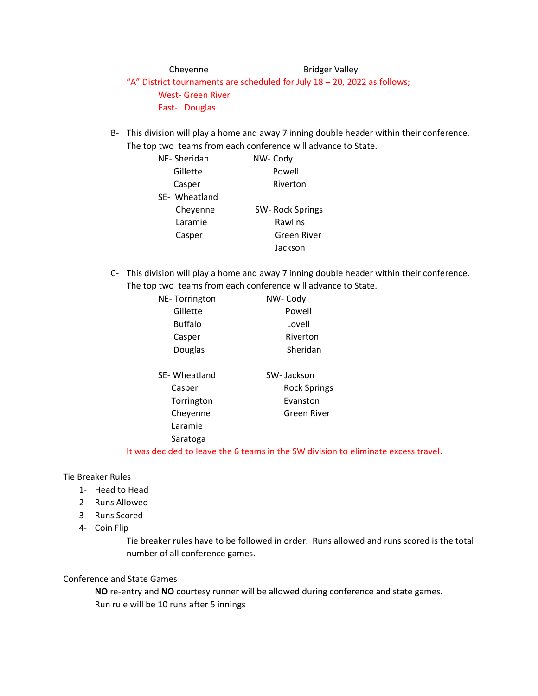Cheyenne Bridger Valley

"A" District tournaments are scheduled for July 18 – 20, 2022 as follows; West- Green River East- Douglas

B- This division will play a home and away 7 inning double header within their conference. The top two teams from each conference will advance to State.

| NE-Sheridan   | NW-Cody         |
|---------------|-----------------|
| Gillette      | Powell          |
| Casper        | Riverton        |
| SE- Wheatland |                 |
| Cheyenne      | SW-Rock Springs |
| Laramie       | Rawlins         |
| Casper        | Green River     |
|               | Jackson         |

C- This division will play a home and away 7 inning double header within their conference. The top two teams from each conference will advance to State.

| NE-Torrington  | NW-Cody             |
|----------------|---------------------|
| Gillette       | Powell              |
| <b>Buffalo</b> | Lovell              |
| Casper         | Riverton            |
| Douglas        | Sheridan            |
|                |                     |
| SE-Wheatland   | SW-Jackson          |
| Casper         | <b>Rock Springs</b> |
| Torrington     | Evanston            |
| Cheyenne       | Green River         |
| Laramie        |                     |
| Saratoga       |                     |
|                |                     |

It was decided to leave the 6 teams in the SW division to eliminate excess travel.

Tie Breaker Rules

- 1- Head to Head
- 2- Runs Allowed
- 3- Runs Scored
- 4- Coin Flip

Tie breaker rules have to be followed in order. Runs allowed and runs scored is the total number of all conference games.

### Conference and State Games

**NO** re-entry and **NO** courtesy runner will be allowed during conference and state games. Run rule will be 10 runs after 5 innings